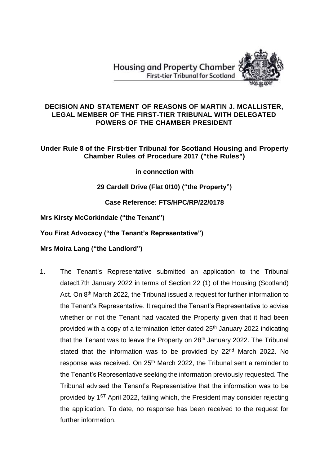**Housing and Property Chamber First-tier Tribunal for Scotland** 



#### **DECISION AND STATEMENT OF REASONS OF MARTIN J. MCALLISTER, LEGAL MEMBER OF THE FIRST-TIER TRIBUNAL WITH DELEGATED POWERS OF THE CHAMBER PRESIDENT**

## **Under Rule 8 of the First-tier Tribunal for Scotland Housing and Property Chamber Rules of Procedure 2017 ("the Rules")**

**in connection with**

# **29 Cardell Drive (Flat 0/10) ("the Property")**

# **Case Reference: FTS/HPC/RP/22/0178**

## **Mrs Kirsty McCorkindale ("the Tenant")**

## **You First Advocacy ("the Tenant's Representative")**

# **Mrs Moira Lang ("the Landlord")**

1. The Tenant's Representative submitted an application to the Tribunal dated17th January 2022 in terms of Section 22 (1) of the Housing (Scotland) Act. On 8<sup>th</sup> March 2022, the Tribunal issued a request for further information to the Tenant's Representative. It required the Tenant's Representative to advise whether or not the Tenant had vacated the Property given that it had been provided with a copy of a termination letter dated 25<sup>th</sup> January 2022 indicating that the Tenant was to leave the Property on 28<sup>th</sup> January 2022. The Tribunal stated that the information was to be provided by 22<sup>nd</sup> March 2022. No response was received*.* On 25th March 2022, the Tribunal sent a reminder to the Tenant's Representative seeking the information previously requested. The Tribunal advised the Tenant's Representative that the information was to be provided by  $1<sup>ST</sup>$  April 2022, failing which, the President may consider rejecting the application. To date, no response has been received to the request for further information.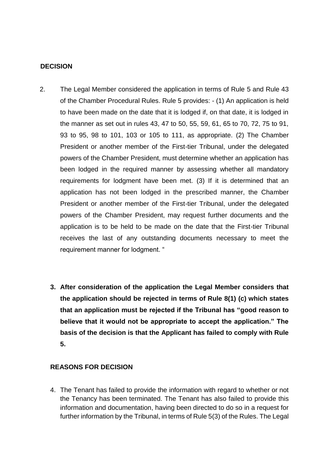### **DECISION**

- 2. The Legal Member considered the application in terms of Rule 5 and Rule 43 of the Chamber Procedural Rules. Rule 5 provides: - (1) An application is held to have been made on the date that it is lodged if, on that date, it is lodged in the manner as set out in rules 43, 47 to 50, 55, 59, 61, 65 to 70, 72, 75 to 91, 93 to 95, 98 to 101, 103 or 105 to 111, as appropriate. (2) The Chamber President or another member of the First-tier Tribunal, under the delegated powers of the Chamber President, must determine whether an application has been lodged in the required manner by assessing whether all mandatory requirements for lodgment have been met. (3) If it is determined that an application has not been lodged in the prescribed manner, the Chamber President or another member of the First-tier Tribunal, under the delegated powers of the Chamber President, may request further documents and the application is to be held to be made on the date that the First-tier Tribunal receives the last of any outstanding documents necessary to meet the requirement manner for lodgment. "
	- **3. After consideration of the application the Legal Member considers that the application should be rejected in terms of Rule 8(1) (c) which states that an application must be rejected if the Tribunal has "good reason to believe that it would not be appropriate to accept the application." The basis of the decision is that the Applicant has failed to comply with Rule 5.**

## **REASONS FOR DECISION**

4. The Tenant has failed to provide the information with regard to whether or not the Tenancy has been terminated. The Tenant has also failed to provide this information and documentation, having been directed to do so in a request for further information by the Tribunal, in terms of Rule 5(3) of the Rules. The Legal